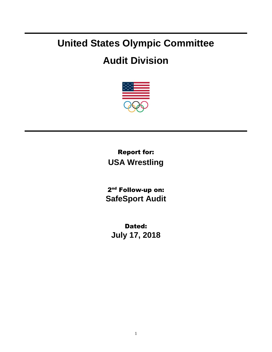## **United States Olympic Committee**

## **Audit Division**



Report for: **USA Wrestling**

2<sup>nd</sup> Follow-up on: **SafeSport Audit**

Dated: **July 17, 2018**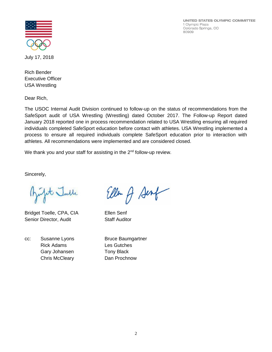UNITED STATES OLYMPIC COMMITTEE 1 Olympic Plaza Colorado Springs, CO 80909



July 17, 2018

Rich Bender Executive Officer USA Wrestling

Dear Rich,

The USOC Internal Audit Division continued to follow-up on the status of recommendations from the SafeSport audit of USA Wrestling (Wrestling) dated October 2017. The Follow-up Report dated January 2018 reported one in process recommendation related to USA Wrestling ensuring all required individuals completed SafeSport education before contact with athletes. USA Wrestling implemented a process to ensure all required individuals complete SafeSport education prior to interaction with athletes. All recommendations were implemented and are considered closed.

We thank you and your staff for assisting in the 2<sup>nd</sup> follow-up review.

Sincerely,

pt Julle

Bridget Toelle, CPA, CIA Ellen Senf Senior Director, Audit Staff Auditor

cc: Susanne Lyons Bruce Baumgartner Rick Adams Les Gutches Gary Johansen Tony Black Chris McCleary Dan Prochnow

Ellen of Sent